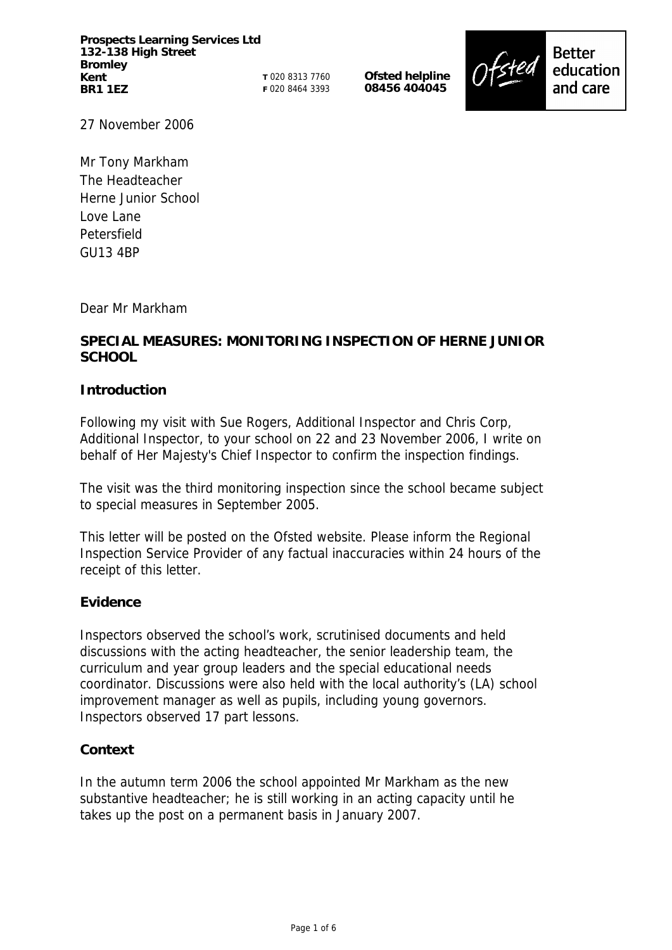**Prospects Learning Services Ltd 132-138 High Street Bromley Kent BR1 1EZ**

**T** 020 8313 7760 **F** 020 8464 3393 **Ofsted helpline 08456 404045**



27 November 2006

Mr Tony Markham The Headteacher Herne Junior School Love Lane Petersfield GU13 4BP

#### Dear Mr Markham

# **SPECIAL MEASURES: MONITORING INSPECTION OF HERNE JUNIOR SCHOOL**

#### **Introduction**

Following my visit with Sue Rogers, Additional Inspector and Chris Corp, Additional Inspector, to your school on 22 and 23 November 2006, I write on behalf of Her Majesty's Chief Inspector to confirm the inspection findings.

The visit was the third monitoring inspection since the school became subject to special measures in September 2005.

This letter will be posted on the Ofsted website. Please inform the Regional Inspection Service Provider of any factual inaccuracies within 24 hours of the receipt of this letter.

#### **Evidence**

Inspectors observed the school's work, scrutinised documents and held discussions with the acting headteacher, the senior leadership team, the curriculum and year group leaders and the special educational needs coordinator. Discussions were also held with the local authority's (LA) school improvement manager as well as pupils, including young governors. Inspectors observed 17 part lessons.

## **Context**

In the autumn term 2006 the school appointed Mr Markham as the new substantive headteacher; he is still working in an acting capacity until he takes up the post on a permanent basis in January 2007.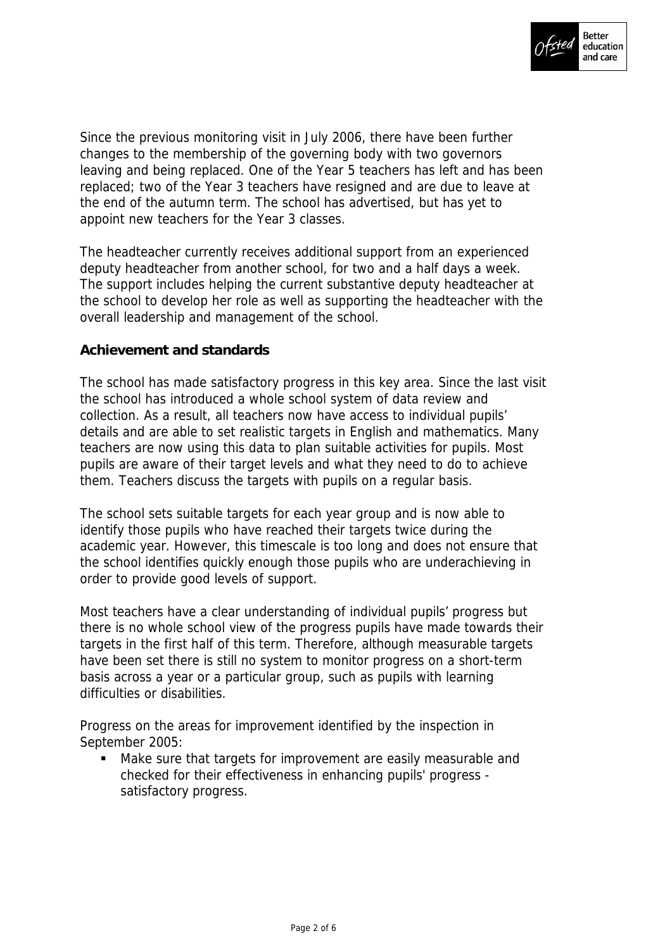

Since the previous monitoring visit in July 2006, there have been further changes to the membership of the governing body with two governors leaving and being replaced. One of the Year 5 teachers has left and has been replaced; two of the Year 3 teachers have resigned and are due to leave at the end of the autumn term. The school has advertised, but has yet to appoint new teachers for the Year 3 classes.

The headteacher currently receives additional support from an experienced deputy headteacher from another school, for two and a half days a week. The support includes helping the current substantive deputy headteacher at the school to develop her role as well as supporting the headteacher with the overall leadership and management of the school.

## **Achievement and standards**

The school has made satisfactory progress in this key area. Since the last visit the school has introduced a whole school system of data review and collection. As a result, all teachers now have access to individual pupils' details and are able to set realistic targets in English and mathematics. Many teachers are now using this data to plan suitable activities for pupils. Most pupils are aware of their target levels and what they need to do to achieve them. Teachers discuss the targets with pupils on a regular basis.

The school sets suitable targets for each year group and is now able to identify those pupils who have reached their targets twice during the academic year. However, this timescale is too long and does not ensure that the school identifies quickly enough those pupils who are underachieving in order to provide good levels of support.

Most teachers have a clear understanding of individual pupils' progress but there is no whole school view of the progress pupils have made towards their targets in the first half of this term. Therefore, although measurable targets have been set there is still no system to monitor progress on a short-term basis across a year or a particular group, such as pupils with learning difficulties or disabilities.

Progress on the areas for improvement identified by the inspection in September 2005:

 Make sure that targets for improvement are easily measurable and checked for their effectiveness in enhancing pupils' progress satisfactory progress.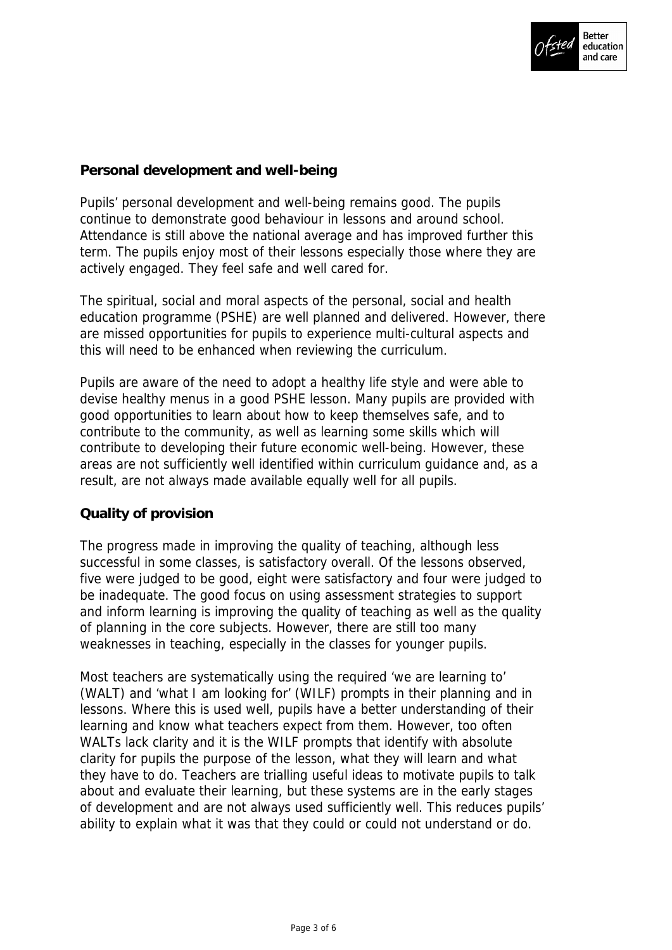

# **Personal development and well-being**

Pupils' personal development and well-being remains good. The pupils continue to demonstrate good behaviour in lessons and around school. Attendance is still above the national average and has improved further this term. The pupils enjoy most of their lessons especially those where they are actively engaged. They feel safe and well cared for.

The spiritual, social and moral aspects of the personal, social and health education programme (PSHE) are well planned and delivered. However, there are missed opportunities for pupils to experience multi-cultural aspects and this will need to be enhanced when reviewing the curriculum.

Pupils are aware of the need to adopt a healthy life style and were able to devise healthy menus in a good PSHE lesson. Many pupils are provided with good opportunities to learn about how to keep themselves safe, and to contribute to the community, as well as learning some skills which will contribute to developing their future economic well-being. However, these areas are not sufficiently well identified within curriculum guidance and, as a result, are not always made available equally well for all pupils.

## **Quality of provision**

The progress made in improving the quality of teaching, although less successful in some classes, is satisfactory overall. Of the lessons observed, five were judged to be good, eight were satisfactory and four were judged to be inadequate. The good focus on using assessment strategies to support and inform learning is improving the quality of teaching as well as the quality of planning in the core subjects. However, there are still too many weaknesses in teaching, especially in the classes for younger pupils.

Most teachers are systematically using the required 'we are learning to' (WALT) and 'what I am looking for' (WILF) prompts in their planning and in lessons. Where this is used well, pupils have a better understanding of their learning and know what teachers expect from them. However, too often WALTs lack clarity and it is the WILF prompts that identify with absolute clarity for pupils the purpose of the lesson, what they will learn and what they have to do. Teachers are trialling useful ideas to motivate pupils to talk about and evaluate their learning, but these systems are in the early stages of development and are not always used sufficiently well. This reduces pupils' ability to explain what it was that they could or could not understand or do.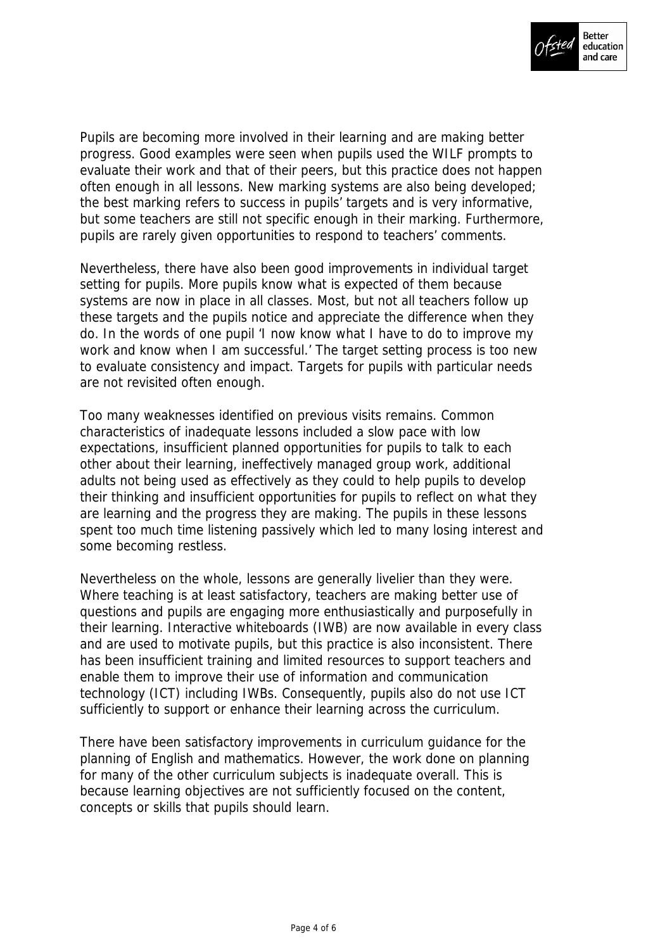

Pupils are becoming more involved in their learning and are making better progress. Good examples were seen when pupils used the WILF prompts to evaluate their work and that of their peers, but this practice does not happen often enough in all lessons. New marking systems are also being developed; the best marking refers to success in pupils' targets and is very informative, but some teachers are still not specific enough in their marking. Furthermore, pupils are rarely given opportunities to respond to teachers' comments.

Nevertheless, there have also been good improvements in individual target setting for pupils. More pupils know what is expected of them because systems are now in place in all classes. Most, but not all teachers follow up these targets and the pupils notice and appreciate the difference when they do. In the words of one pupil 'I now know what I have to do to improve my work and know when I am successful.' The target setting process is too new to evaluate consistency and impact. Targets for pupils with particular needs are not revisited often enough.

Too many weaknesses identified on previous visits remains. Common characteristics of inadequate lessons included a slow pace with low expectations, insufficient planned opportunities for pupils to talk to each other about their learning, ineffectively managed group work, additional adults not being used as effectively as they could to help pupils to develop their thinking and insufficient opportunities for pupils to reflect on what they are learning and the progress they are making. The pupils in these lessons spent too much time listening passively which led to many losing interest and some becoming restless.

Nevertheless on the whole, lessons are generally livelier than they were. Where teaching is at least satisfactory, teachers are making better use of questions and pupils are engaging more enthusiastically and purposefully in their learning. Interactive whiteboards (IWB) are now available in every class and are used to motivate pupils, but this practice is also inconsistent. There has been insufficient training and limited resources to support teachers and enable them to improve their use of information and communication technology (ICT) including IWBs. Consequently, pupils also do not use ICT sufficiently to support or enhance their learning across the curriculum.

There have been satisfactory improvements in curriculum guidance for the planning of English and mathematics. However, the work done on planning for many of the other curriculum subjects is inadequate overall. This is because learning objectives are not sufficiently focused on the content, concepts or skills that pupils should learn.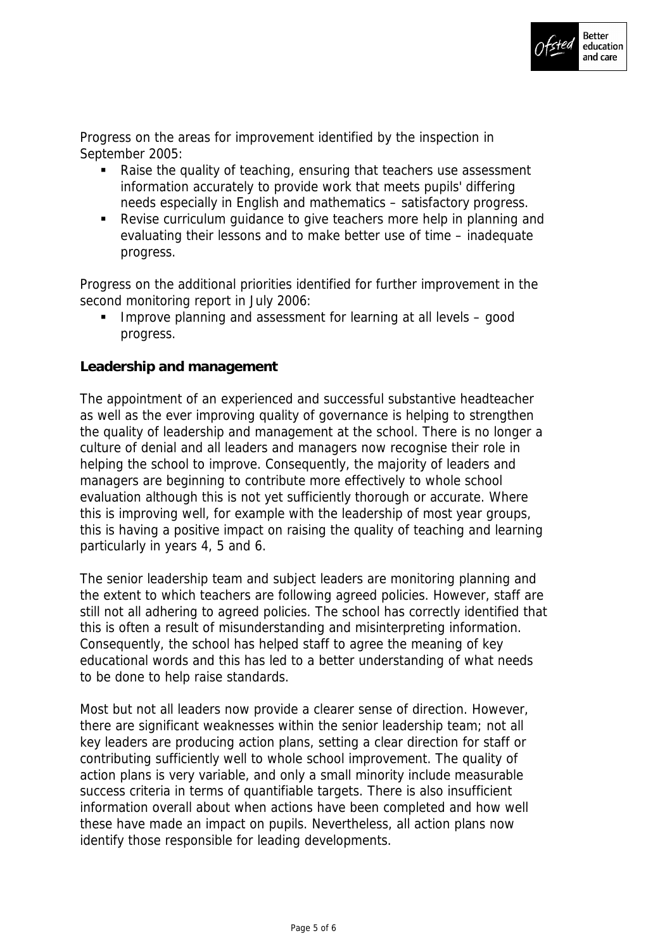

Progress on the areas for improvement identified by the inspection in September 2005:

- Raise the quality of teaching, ensuring that teachers use assessment information accurately to provide work that meets pupils' differing needs especially in English and mathematics – satisfactory progress.
- Revise curriculum guidance to give teachers more help in planning and evaluating their lessons and to make better use of time – inadequate progress.

Progress on the additional priorities identified for further improvement in the second monitoring report in July 2006:

**IMPROVE planning and assessment for learning at all levels – good** progress.

## **Leadership and management**

The appointment of an experienced and successful substantive headteacher as well as the ever improving quality of governance is helping to strengthen the quality of leadership and management at the school. There is no longer a culture of denial and all leaders and managers now recognise their role in helping the school to improve. Consequently, the majority of leaders and managers are beginning to contribute more effectively to whole school evaluation although this is not yet sufficiently thorough or accurate. Where this is improving well, for example with the leadership of most year groups, this is having a positive impact on raising the quality of teaching and learning particularly in years 4, 5 and 6.

The senior leadership team and subject leaders are monitoring planning and the extent to which teachers are following agreed policies. However, staff are still not all adhering to agreed policies. The school has correctly identified that this is often a result of misunderstanding and misinterpreting information. Consequently, the school has helped staff to agree the meaning of key educational words and this has led to a better understanding of what needs to be done to help raise standards.

Most but not all leaders now provide a clearer sense of direction. However, there are significant weaknesses within the senior leadership team; not all key leaders are producing action plans, setting a clear direction for staff or contributing sufficiently well to whole school improvement. The quality of action plans is very variable, and only a small minority include measurable success criteria in terms of quantifiable targets. There is also insufficient information overall about when actions have been completed and how well these have made an impact on pupils. Nevertheless, all action plans now identify those responsible for leading developments.